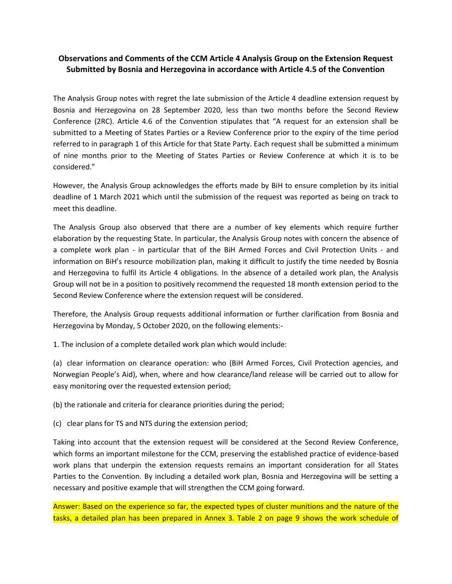## **Observations and Comments of the CCM Article 4 Analysis Group on the Extension Request Submitted by Bosnia and Herzegovina in accordance with Article 4.5 of the Convention**

The Analysis Group notes with regret the late submission of the Article 4 deadline extension request by Bosnia and Herzegovina on 28 September 2020, less than two months before the Second Review Conference (2RC). Article 4.6 of the Convention stipulates that "A request for an extension shall be submitted to a Meeting of States Parties or a Review Conference prior to the expiry of the time period referred to in paragraph 1 of this Article for that State Party. Each request shall be submitted a minimum of nine months prior to the Meeting of States Parties or Review Conference at which it is to be considered."

However, the Analysis Group acknowledges the efforts made by BiH to ensure completion by its initial deadline of 1 March 2021 which until the submission of the request was reported as being on track to meet this deadline.

The Analysis Group also observed that there are a number of key elements which require further elaboration by the requesting State. In particular, the Analysis Group notes with concern the absence of a complete work plan - in particular that of the BiH Armed Forces and Civil Protection Units - and information on BiH's resource mobilization plan, making it difficult to justify the time needed by Bosnia and Herzegovina to fulfil its Article 4 obligations. In the absence of a detailed work plan, the Analysis Group will not be in a position to positively recommend the requested 18 month extension period to the Second Review Conference where the extension request will be considered.

Therefore, the Analysis Group requests additional information or further clarification from Bosnia and Herzegovina by Monday, 5 October 2020, on the following elements:-

1. The inclusion of a complete detailed work plan which would include:

(a) clear information on clearance operation: who (BiH Armed Forces, Civil Protection agencies, and Norwegian People's Aid), when, where and how clearance/land release will be carried out to allow for easy monitoring over the requested extension period;

(b) the rationale and criteria for clearance priorities during the period;

(c) clear plans for TS and NTS during the extension period;

Taking into account that the extension request will be considered at the Second Review Conference, which forms an important milestone for the CCM, preserving the established practice of evidence-based work plans that underpin the extension requests remains an important consideration for all States Parties to the Convention. By including a detailed work plan, Bosnia and Herzegovina will be setting a necessary and positive example that will strengthen the CCM going forward.

Answer: Based on the experience so far, the expected types of cluster munitions and the nature of the tasks, a detailed plan has been prepared in Annex 3. Table 2 on page 9 shows the work schedule of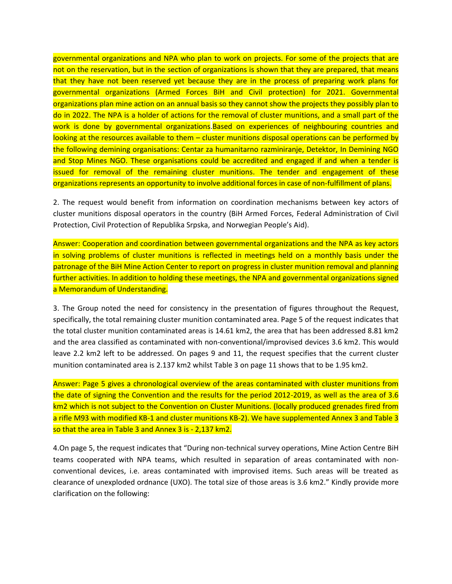governmental organizations and NPA who plan to work on projects. For some of the projects that are not on the reservation, but in the section of organizations is shown that they are prepared, that means that they have not been reserved yet because they are in the process of preparing work plans for governmental organizations (Armed Forces BiH and Civil protection) for 2021. Governmental organizations plan mine action on an annual basis so they cannot show the projects they possibly plan to do in 2022. The NPA is a holder of actions for the removal of cluster munitions, and a small part of the work is done by governmental organizations.Based on experiences of neighbouring countries and looking at the resources available to them – cluster munitions disposal operations can be performed by the following demining organisations: Centar za humanitarno razminiranje, Detektor, In Demining NGO and Stop Mines NGO. These organisations could be accredited and engaged if and when a tender is issued for removal of the remaining cluster munitions. The tender and engagement of these organizations represents an opportunity to involve additional forces in case of non-fulfillment of plans.

2. The request would benefit from information on coordination mechanisms between key actors of cluster munitions disposal operators in the country (BiH Armed Forces, Federal Administration of Civil Protection, Civil Protection of Republika Srpska, and Norwegian People's Aid).

Answer: Cooperation and coordination between governmental organizations and the NPA as key actors in solving problems of cluster munitions is reflected in meetings held on a monthly basis under the patronage of the BiH Mine Action Center to report on progress in cluster munition removal and planning further activities. In addition to holding these meetings, the NPA and governmental organizations signed a Memorandum of Understanding.

3. The Group noted the need for consistency in the presentation of figures throughout the Request, specifically, the total remaining cluster munition contaminated area. Page 5 of the request indicates that the total cluster munition contaminated areas is 14.61 km2, the area that has been addressed 8.81 km2 and the area classified as contaminated with non-conventional/improvised devices 3.6 km2. This would leave 2.2 km2 left to be addressed. On pages 9 and 11, the request specifies that the current cluster munition contaminated area is 2.137 km2 whilst Table 3 on page 11 shows that to be 1.95 km2.

Answer: Page 5 gives a chronological overview of the areas contaminated with cluster munitions from the date of signing the Convention and the results for the period 2012-2019, as well as the area of 3.6 km2 which is not subject to the Convention on Cluster Munitions. (locally produced grenades fired from a rifle M93 with modified KB-1 and cluster munitions KB-2). We have supplemented Annex 3 and Table 3 so that the area in Table 3 and Annex 3 is - 2,137 km2.

4.On page 5, the request indicates that "During non-technical survey operations, Mine Action Centre BiH teams cooperated with NPA teams, which resulted in separation of areas contaminated with nonconventional devices, i.e. areas contaminated with improvised items. Such areas will be treated as clearance of unexploded ordnance (UXO). The total size of those areas is 3.6 km2." Kindly provide more clarification on the following: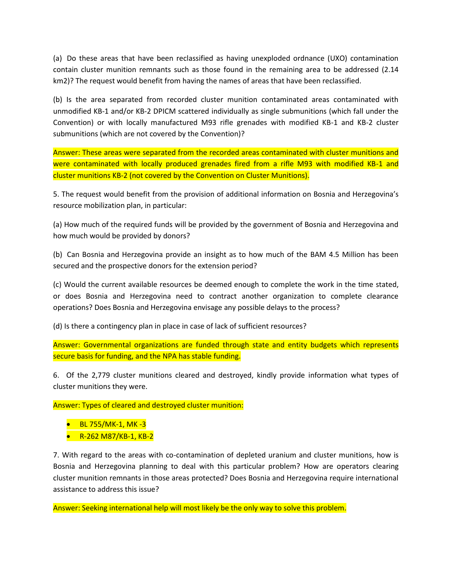(a) Do these areas that have been reclassified as having unexploded ordnance (UXO) contamination contain cluster munition remnants such as those found in the remaining area to be addressed (2.14 km2)? The request would benefit from having the names of areas that have been reclassified.

(b) Is the area separated from recorded cluster munition contaminated areas contaminated with unmodified KB-1 and/or KB-2 DPICM scattered individually as single submunitions (which fall under the Convention) or with locally manufactured M93 rifle grenades with modified KB-1 and KB-2 cluster submunitions (which are not covered by the Convention)?

Answer: These areas were separated from the recorded areas contaminated with cluster munitions and were contaminated with locally produced grenades fired from a rifle M93 with modified KB-1 and cluster munitions KB-2 (not covered by the Convention on Cluster Munitions).

5. The request would benefit from the provision of additional information on Bosnia and Herzegovina's resource mobilization plan, in particular:

(a) How much of the required funds will be provided by the government of Bosnia and Herzegovina and how much would be provided by donors?

(b) Can Bosnia and Herzegovina provide an insight as to how much of the BAM 4.5 Million has been secured and the prospective donors for the extension period?

(c) Would the current available resources be deemed enough to complete the work in the time stated, or does Bosnia and Herzegovina need to contract another organization to complete clearance operations? Does Bosnia and Herzegovina envisage any possible delays to the process?

(d) Is there a contingency plan in place in case of lack of sufficient resources?

Answer: Governmental organizations are funded through state and entity budgets which represents secure basis for funding, and the NPA has stable funding.

6. Of the 2,779 cluster munitions cleared and destroyed, kindly provide information what types of cluster munitions they were.

Answer: Types of cleared and destroyed cluster munition:

- BL 755/MK-1, MK -3
- R-262 M87/KB-1, KB-2

7. With regard to the areas with co-contamination of depleted uranium and cluster munitions, how is Bosnia and Herzegovina planning to deal with this particular problem? How are operators clearing cluster munition remnants in those areas protected? Does Bosnia and Herzegovina require international assistance to address this issue?

Answer: Seeking international help will most likely be the only way to solve this problem.